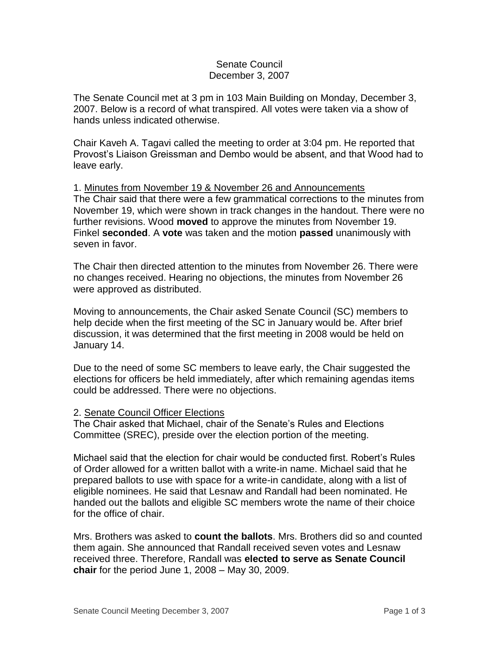## Senate Council December 3, 2007

The Senate Council met at 3 pm in 103 Main Building on Monday, December 3, 2007. Below is a record of what transpired. All votes were taken via a show of hands unless indicated otherwise.

Chair Kaveh A. Tagavi called the meeting to order at 3:04 pm. He reported that Provost's Liaison Greissman and Dembo would be absent, and that Wood had to leave early.

1. Minutes from November 19 & November 26 and Announcements The Chair said that there were a few grammatical corrections to the minutes from November 19, which were shown in track changes in the handout. There were no further revisions. Wood **moved** to approve the minutes from November 19. Finkel **seconded**. A **vote** was taken and the motion **passed** unanimously with seven in favor.

The Chair then directed attention to the minutes from November 26. There were no changes received. Hearing no objections, the minutes from November 26 were approved as distributed.

Moving to announcements, the Chair asked Senate Council (SC) members to help decide when the first meeting of the SC in January would be. After brief discussion, it was determined that the first meeting in 2008 would be held on January 14.

Due to the need of some SC members to leave early, the Chair suggested the elections for officers be held immediately, after which remaining agendas items could be addressed. There were no objections.

## 2. Senate Council Officer Elections

The Chair asked that Michael, chair of the Senate's Rules and Elections Committee (SREC), preside over the election portion of the meeting.

Michael said that the election for chair would be conducted first. Robert's Rules of Order allowed for a written ballot with a write-in name. Michael said that he prepared ballots to use with space for a write-in candidate, along with a list of eligible nominees. He said that Lesnaw and Randall had been nominated. He handed out the ballots and eligible SC members wrote the name of their choice for the office of chair.

Mrs. Brothers was asked to **count the ballots**. Mrs. Brothers did so and counted them again. She announced that Randall received seven votes and Lesnaw received three. Therefore, Randall was **elected to serve as Senate Council chair** for the period June 1, 2008 – May 30, 2009.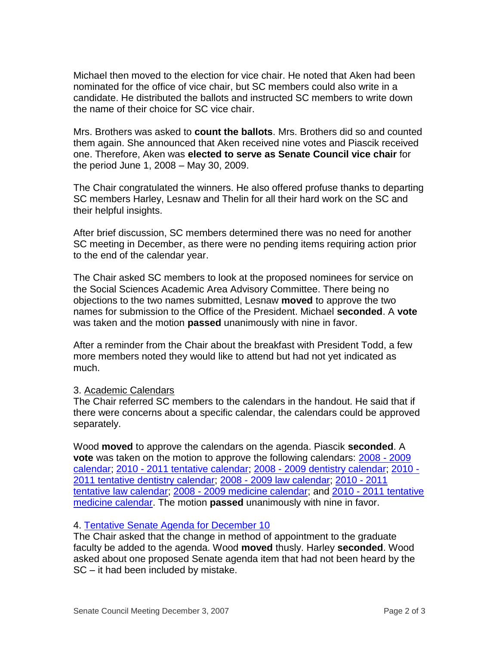Michael then moved to the election for vice chair. He noted that Aken had been nominated for the office of vice chair, but SC members could also write in a candidate. He distributed the ballots and instructed SC members to write down the name of their choice for SC vice chair.

Mrs. Brothers was asked to **count the ballots**. Mrs. Brothers did so and counted them again. She announced that Aken received nine votes and Piascik received one. Therefore, Aken was **elected to serve as Senate Council vice chair** for the period June 1, 2008 – May 30, 2009.

The Chair congratulated the winners. He also offered profuse thanks to departing SC members Harley, Lesnaw and Thelin for all their hard work on the SC and their helpful insights.

After brief discussion, SC members determined there was no need for another SC meeting in December, as there were no pending items requiring action prior to the end of the calendar year.

The Chair asked SC members to look at the proposed nominees for service on the Social Sciences Academic Area Advisory Committee. There being no objections to the two names submitted, Lesnaw **moved** to approve the two names for submission to the Office of the President. Michael **seconded**. A **vote** was taken and the motion **passed** unanimously with nine in favor.

After a reminder from the Chair about the breakfast with President Todd, a few more members noted they would like to attend but had not yet indicated as much.

## 3. Academic Calendars

The Chair referred SC members to the calendars in the handout. He said that if there were concerns about a specific calendar, the calendars could be approved separately.

Wood **moved** to approve the calendars on the agenda. Piascik **seconded**. A **vote** was taken on the motion to approve the following calendars: [2008 -](http://www.uky.edu/USC/New/files/20071203/2008-2009.pdf) 2009 [calendar;](http://www.uky.edu/USC/New/files/20071203/2008-2009.pdf) 2010 - [2011 tentative calendar;](http://www.uky.edu/USC/New/files/20071203/2010-2011%20Tentative.pdf) 2008 - [2009 dentistry calendar;](http://www.uky.edu/USC/New/files/20071203/2008-2009%20Dentistry.pdf) [2010 -](http://www.uky.edu/USC/New/files/20071203/2010-2011%20Dentistry%20tentative.pdf) [2011 tentative dentistry calendar;](http://www.uky.edu/USC/New/files/20071203/2010-2011%20Dentistry%20tentative.pdf) 2008 - [2009 law calendar;](http://www.uky.edu/USC/New/files/20071203/2008-2009%20Law.pdf) [2010 -](http://www.uky.edu/USC/New/files/20071203/2010-2011%20tentative%20Law.pdf) 2011 [tentative law calendar;](http://www.uky.edu/USC/New/files/20071203/2010-2011%20tentative%20Law.pdf) 2008 - [2009 medicine calendar;](http://www.uky.edu/USC/New/files/20071203/2008-2009%20Medicine.pdf) and 2010 - [2011 tentative](http://www.uky.edu/USC/New/files/20071203/2010-2011%20tentative%20Medicine.pdf)  [medicine calendar.](http://www.uky.edu/USC/New/files/20071203/2010-2011%20tentative%20Medicine.pdf) The motion **passed** unanimously with nine in favor.

## 4. [Tentative Senate Agenda for December 10](http://www.uky.edu/USC/New/files/20071203/Tentative%20Senate%20Agenda%20for%2012-10.pdf)

The Chair asked that the change in method of appointment to the graduate faculty be added to the agenda. Wood **moved** thusly. Harley **seconded**. Wood asked about one proposed Senate agenda item that had not been heard by the SC – it had been included by mistake.